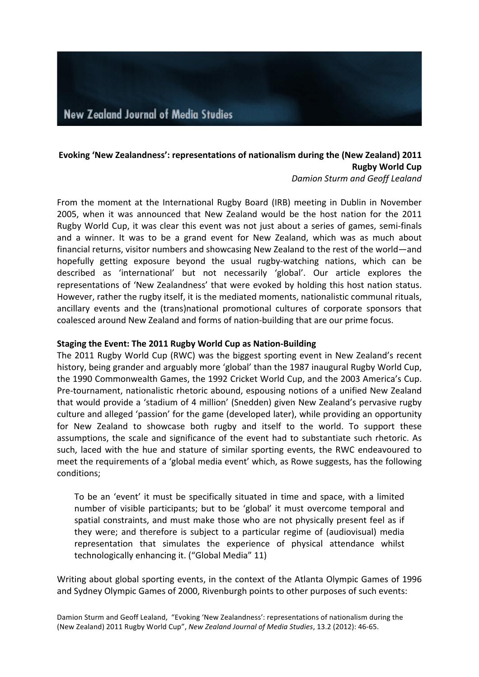# Evoking 'New Zealandness': representations of nationalism during the (New Zealand) 2011 **Rugby World Cup**

*Damion Sturm and Geoff Lealand*

From the moment at the International Rugby Board (IRB) meeting in Dublin in November 2005, when it was announced that New Zealand would be the host nation for the 2011 Rugby World Cup, it was clear this event was not just about a series of games, semi-finals and a winner. It was to be a grand event for New Zealand, which was as much about financial returns, visitor numbers and showcasing New Zealand to the rest of the world—and hopefully getting exposure beyond the usual rugby-watching nations, which can be described as 'international' but not necessarily 'global'. Our article explores the representations of 'New Zealandness' that were evoked by holding this host nation status. However, rather the rugby itself, it is the mediated moments, nationalistic communal rituals, ancillary events and the (trans)national promotional cultures of corporate sponsors that coalesced around New Zealand and forms of nation-building that are our prime focus.

## **Staging the Event: The 2011 Rugby World Cup as Nation-Building**

The 2011 Rugby World Cup (RWC) was the biggest sporting event in New Zealand's recent history, being grander and arguably more 'global' than the 1987 inaugural Rugby World Cup, the 1990 Commonwealth Games, the 1992 Cricket World Cup, and the 2003 America's Cup. Pre-tournament, nationalistic rhetoric abound, espousing notions of a unified New Zealand that would provide a 'stadium of 4 million' (Snedden) given New Zealand's pervasive rugby culture and alleged 'passion' for the game (developed later), while providing an opportunity for New Zealand to showcase both rugby and itself to the world. To support these assumptions, the scale and significance of the event had to substantiate such rhetoric. As such, laced with the hue and stature of similar sporting events, the RWC endeavoured to meet the requirements of a 'global media event' which, as Rowe suggests, has the following conditions;

To be an 'event' it must be specifically situated in time and space, with a limited number of visible participants; but to be 'global' it must overcome temporal and spatial constraints, and must make those who are not physically present feel as if they were; and therefore is subject to a particular regime of (audiovisual) media representation that simulates the experience of physical attendance whilst technologically enhancing it. ("Global Media" 11)

Writing about global sporting events, in the context of the Atlanta Olympic Games of 1996 and Sydney Olympic Games of 2000, Rivenburgh points to other purposes of such events:

Damion Sturm and Geoff Lealand, "Evoking 'New Zealandness': representations of nationalism during the (New Zealand) 2011 Rugby World Cup", *New Zealand Journal of Media Studies*, 13.2 (2012): 46-65.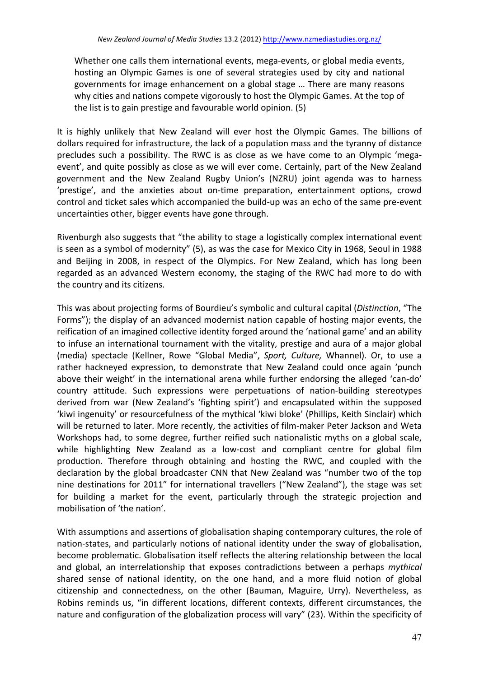Whether one calls them international events, mega-events, or global media events, hosting an Olympic Games is one of several strategies used by city and national governments for image enhancement on a global stage ... There are many reasons why cities and nations compete vigorously to host the Olympic Games. At the top of the list is to gain prestige and favourable world opinion.  $(5)$ 

It is highly unlikely that New Zealand will ever host the Olympic Games. The billions of dollars required for infrastructure, the lack of a population mass and the tyranny of distance precludes such a possibility. The RWC is as close as we have come to an Olympic 'megaevent', and quite possibly as close as we will ever come. Certainly, part of the New Zealand government and the New Zealand Rugby Union's (NZRU) joint agenda was to harness 'prestige', and the anxieties about on-time preparation, entertainment options, crowd control and ticket sales which accompanied the build-up was an echo of the same pre-event uncertainties other, bigger events have gone through.

Rivenburgh also suggests that "the ability to stage a logistically complex international event is seen as a symbol of modernity" (5), as was the case for Mexico City in 1968, Seoul in 1988 and Beijing in 2008, in respect of the Olympics. For New Zealand, which has long been regarded as an advanced Western economy, the staging of the RWC had more to do with the country and its citizens.

This was about projecting forms of Bourdieu's symbolic and cultural capital (*Distinction*, "The Forms"); the display of an advanced modernist nation capable of hosting major events, the reification of an imagined collective identity forged around the 'national game' and an ability to infuse an international tournament with the vitality, prestige and aura of a major global (media) spectacle (Kellner, Rowe "Global Media", Sport, Culture, Whannel). Or, to use a rather hackneyed expression, to demonstrate that New Zealand could once again 'punch above their weight' in the international arena while further endorsing the alleged 'can-do' country attitude. Such expressions were perpetuations of nation-building stereotypes derived from war (New Zealand's 'fighting spirit') and encapsulated within the supposed 'kiwi ingenuity' or resourcefulness of the mythical 'kiwi bloke' (Phillips, Keith Sinclair) which will be returned to later. More recently, the activities of film-maker Peter Jackson and Weta Workshops had, to some degree, further reified such nationalistic myths on a global scale, while highlighting New Zealand as a low-cost and compliant centre for global film production. Therefore through obtaining and hosting the RWC, and coupled with the declaration by the global broadcaster CNN that New Zealand was "number two of the top nine destinations for 2011" for international travellers ("New Zealand"), the stage was set for building a market for the event, particularly through the strategic projection and mobilisation of 'the nation'.

With assumptions and assertions of globalisation shaping contemporary cultures, the role of nation-states, and particularly notions of national identity under the sway of globalisation, become problematic. Globalisation itself reflects the altering relationship between the local and global, an interrelationship that exposes contradictions between a perhaps *mythical* shared sense of national identity, on the one hand, and a more fluid notion of global citizenship and connectedness, on the other (Bauman, Maguire, Urry). Nevertheless, as Robins reminds us, "in different locations, different contexts, different circumstances, the nature and configuration of the globalization process will vary" (23). Within the specificity of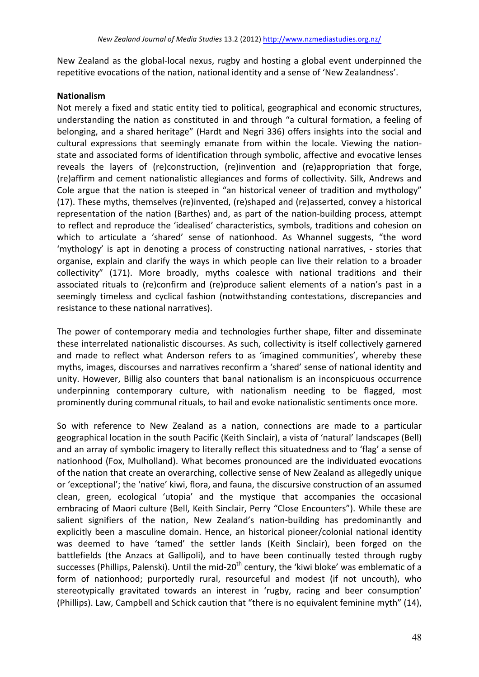New Zealand as the global-local nexus, rugby and hosting a global event underpinned the repetitive evocations of the nation, national identity and a sense of 'New Zealandness'.

## **Nationalism**

Not merely a fixed and static entity tied to political, geographical and economic structures, understanding the nation as constituted in and through "a cultural formation, a feeling of belonging, and a shared heritage" (Hardt and Negri 336) offers insights into the social and cultural expressions that seemingly emanate from within the locale. Viewing the nationstate and associated forms of identification through symbolic, affective and evocative lenses reveals the layers of (re)construction, (re)invention and (re)appropriation that forge, (re)affirm and cement nationalistic allegiances and forms of collectivity. Silk, Andrews and Cole argue that the nation is steeped in "an historical veneer of tradition and mythology" (17). These myths, themselves (re)invented, (re)shaped and (re)asserted, convey a historical representation of the nation (Barthes) and, as part of the nation-building process, attempt to reflect and reproduce the 'idealised' characteristics, symbols, traditions and cohesion on which to articulate a 'shared' sense of nationhood. As Whannel suggests, "the word 'mythology' is apt in denoting a process of constructing national narratives, - stories that organise, explain and clarify the ways in which people can live their relation to a broader collectivity" (171). More broadly, myths coalesce with national traditions and their associated rituals to (re)confirm and (re)produce salient elements of a nation's past in a seemingly timeless and cyclical fashion (notwithstanding contestations, discrepancies and resistance to these national narratives).

The power of contemporary media and technologies further shape, filter and disseminate these interrelated nationalistic discourses. As such, collectivity is itself collectively garnered and made to reflect what Anderson refers to as 'imagined communities', whereby these myths, images, discourses and narratives reconfirm a 'shared' sense of national identity and unity. However, Billig also counters that banal nationalism is an inconspicuous occurrence underpinning contemporary culture, with nationalism needing to be flagged, most prominently during communal rituals, to hail and evoke nationalistic sentiments once more.

So with reference to New Zealand as a nation, connections are made to a particular geographical location in the south Pacific (Keith Sinclair), a vista of 'natural' landscapes (Bell) and an array of symbolic imagery to literally reflect this situatedness and to 'flag' a sense of nationhood (Fox, Mulholland). What becomes pronounced are the individuated evocations of the nation that create an overarching, collective sense of New Zealand as allegedly unique or 'exceptional'; the 'native' kiwi, flora, and fauna, the discursive construction of an assumed clean, green, ecological 'utopia' and the mystique that accompanies the occasional embracing of Maori culture (Bell, Keith Sinclair, Perry "Close Encounters"). While these are salient signifiers of the nation, New Zealand's nation-building has predominantly and explicitly been a masculine domain. Hence, an historical pioneer/colonial national identity was deemed to have 'tamed' the settler lands (Keith Sinclair), been forged on the battlefields (the Anzacs at Gallipoli), and to have been continually tested through rugby successes (Phillips, Palenski). Until the mid-20<sup>th</sup> century, the 'kiwi bloke' was emblematic of a form of nationhood; purportedly rural, resourceful and modest (if not uncouth), who stereotypically gravitated towards an interest in 'rugby, racing and beer consumption' (Phillips). Law, Campbell and Schick caution that "there is no equivalent feminine myth" (14),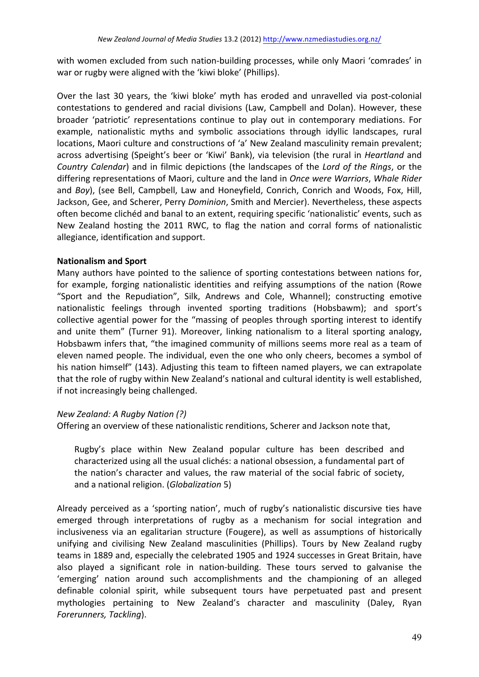with women excluded from such nation-building processes, while only Maori 'comrades' in war or rugby were aligned with the 'kiwi bloke' (Phillips).

Over the last 30 years, the 'kiwi bloke' myth has eroded and unravelled via post-colonial contestations to gendered and racial divisions (Law, Campbell and Dolan). However, these broader 'patriotic' representations continue to play out in contemporary mediations. For example, nationalistic myths and symbolic associations through idyllic landscapes, rural locations, Maori culture and constructions of 'a' New Zealand masculinity remain prevalent; across advertising (Speight's beer or 'Kiwi' Bank), via television (the rural in *Heartland* and *Country Calendar*) and in filmic depictions (the landscapes of the *Lord of the Rings*, or the differing representations of Maori, culture and the land in *Once were Warriors*, *Whale Rider* and *Boy*), (see Bell, Campbell, Law and Honeyfield, Conrich, Conrich and Woods, Fox, Hill, Jackson, Gee, and Scherer, Perry *Dominion*, Smith and Mercier). Nevertheless, these aspects often become clichéd and banal to an extent, requiring specific 'nationalistic' events, such as New Zealand hosting the 2011 RWC, to flag the nation and corral forms of nationalistic allegiance, identification and support.

# **Nationalism and Sport**

Many authors have pointed to the salience of sporting contestations between nations for, for example, forging nationalistic identities and reifying assumptions of the nation (Rowe "Sport and the Repudiation", Silk, Andrews and Cole, Whannel); constructing emotive nationalistic feelings through invented sporting traditions (Hobsbawm); and sport's collective agential power for the "massing of peoples through sporting interest to identify and unite them" (Turner 91). Moreover, linking nationalism to a literal sporting analogy, Hobsbawm infers that, "the imagined community of millions seems more real as a team of eleven named people. The individual, even the one who only cheers, becomes a symbol of his nation himself" (143). Adjusting this team to fifteen named players, we can extrapolate that the role of rugby within New Zealand's national and cultural identity is well established, if not increasingly being challenged.

# *New Zealand: A Rugby Nation (?)*

Offering an overview of these nationalistic renditions, Scherer and Jackson note that,

Rugby's place within New Zealand popular culture has been described and characterized using all the usual clichés: a national obsession, a fundamental part of the nation's character and values, the raw material of the social fabric of society, and a national religion. (*Globalization* 5)

Already perceived as a 'sporting nation', much of rugby's nationalistic discursive ties have emerged through interpretations of rugby as a mechanism for social integration and inclusiveness via an egalitarian structure (Fougere), as well as assumptions of historically unifying and civilising New Zealand masculinities (Phillips). Tours by New Zealand rugby teams in 1889 and, especially the celebrated 1905 and 1924 successes in Great Britain, have also played a significant role in nation-building. These tours served to galvanise the 'emerging' nation around such accomplishments and the championing of an alleged definable colonial spirit, while subsequent tours have perpetuated past and present mythologies pertaining to New Zealand's character and masculinity (Daley, Ryan *Forerunners, Tackling*).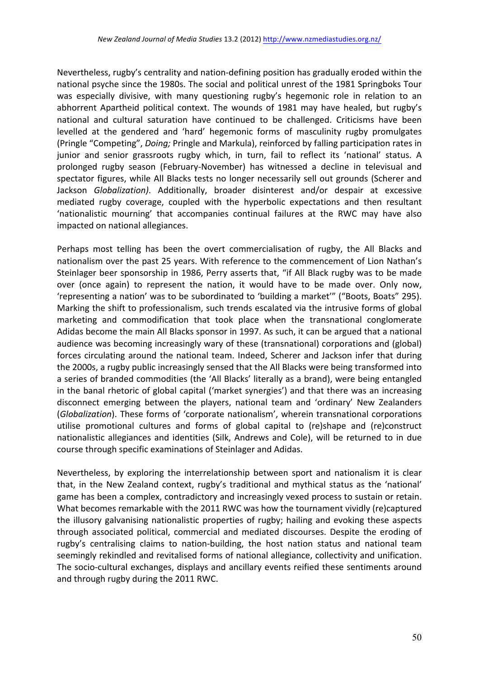Nevertheless, rugby's centrality and nation-defining position has gradually eroded within the national psyche since the 1980s. The social and political unrest of the 1981 Springboks Tour was especially divisive, with many questioning rugby's hegemonic role in relation to an abhorrent Apartheid political context. The wounds of 1981 may have healed, but rugby's national and cultural saturation have continued to be challenged. Criticisms have been levelled at the gendered and 'hard' hegemonic forms of masculinity rugby promulgates (Pringle "Competing", *Doing;* Pringle and Markula), reinforced by falling participation rates in junior and senior grassroots rugby which, in turn, fail to reflect its 'national' status. A prolonged rugby season (February-November) has witnessed a decline in televisual and spectator figures, while All Blacks tests no longer necessarily sell out grounds (Scherer and Jackson *Globalization*). Additionally, broader disinterest and/or despair at excessive mediated rugby coverage, coupled with the hyperbolic expectations and then resultant 'nationalistic mourning' that accompanies continual failures at the RWC may have also impacted on national allegiances.

Perhaps most telling has been the overt commercialisation of rugby, the All Blacks and nationalism over the past 25 years. With reference to the commencement of Lion Nathan's Steinlager beer sponsorship in 1986, Perry asserts that, "if All Black rugby was to be made over (once again) to represent the nation, it would have to be made over. Only now, 'representing a nation' was to be subordinated to 'building a market'" ("Boots, Boats" 295). Marking the shift to professionalism, such trends escalated via the intrusive forms of global marketing and commodification that took place when the transnational conglomerate Adidas become the main All Blacks sponsor in 1997. As such, it can be argued that a national audience was becoming increasingly wary of these (transnational) corporations and (global) forces circulating around the national team. Indeed, Scherer and Jackson infer that during the 2000s, a rugby public increasingly sensed that the All Blacks were being transformed into a series of branded commodities (the 'All Blacks' literally as a brand), were being entangled in the banal rhetoric of global capital ('market synergies') and that there was an increasing disconnect emerging between the players, national team and 'ordinary' New Zealanders (*Globalization*). These forms of 'corporate nationalism', wherein transnational corporations utilise promotional cultures and forms of global capital to (re)shape and (re)construct nationalistic allegiances and identities (Silk, Andrews and Cole), will be returned to in due course through specific examinations of Steinlager and Adidas.

Nevertheless, by exploring the interrelationship between sport and nationalism it is clear that, in the New Zealand context, rugby's traditional and mythical status as the 'national' game has been a complex, contradictory and increasingly vexed process to sustain or retain. What becomes remarkable with the 2011 RWC was how the tournament vividly (re)captured the illusory galvanising nationalistic properties of rugby; hailing and evoking these aspects through associated political, commercial and mediated discourses. Despite the eroding of rugby's centralising claims to nation-building, the host nation status and national team seemingly rekindled and revitalised forms of national allegiance, collectivity and unification. The socio-cultural exchanges, displays and ancillary events reified these sentiments around and through rugby during the 2011 RWC.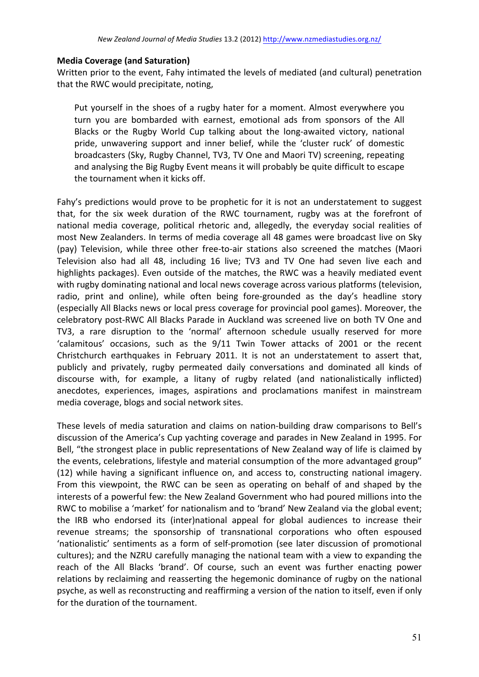## **Media Coverage (and Saturation)**

Written prior to the event, Fahy intimated the levels of mediated (and cultural) penetration that the RWC would precipitate, noting,

Put yourself in the shoes of a rugby hater for a moment. Almost everywhere you turn you are bombarded with earnest, emotional ads from sponsors of the All Blacks or the Rugby World Cup talking about the long-awaited victory, national pride, unwavering support and inner belief, while the 'cluster ruck' of domestic broadcasters (Sky, Rugby Channel, TV3, TV One and Maori TV) screening, repeating and analysing the Big Rugby Event means it will probably be quite difficult to escape the tournament when it kicks off.

Fahy's predictions would prove to be prophetic for it is not an understatement to suggest that, for the six week duration of the RWC tournament, rugby was at the forefront of national media coverage, political rhetoric and, allegedly, the everyday social realities of most New Zealanders. In terms of media coverage all 48 games were broadcast live on Sky (pay) Television, while three other free-to-air stations also screened the matches (Maori Television also had all 48, including 16 live; TV3 and TV One had seven live each and highlights packages). Even outside of the matches, the RWC was a heavily mediated event with rugby dominating national and local news coverage across various platforms (television, radio, print and online), while often being fore-grounded as the day's headline story (especially All Blacks news or local press coverage for provincial pool games). Moreover, the celebratory post-RWC All Blacks Parade in Auckland was screened live on both TV One and TV3, a rare disruption to the 'normal' afternoon schedule usually reserved for more 'calamitous' occasions, such as the 9/11 Twin Tower attacks of 2001 or the recent Christchurch earthquakes in February 2011. It is not an understatement to assert that, publicly and privately, rugby permeated daily conversations and dominated all kinds of discourse with, for example, a litany of rugby related (and nationalistically inflicted) anecdotes, experiences, images, aspirations and proclamations manifest in mainstream media coverage, blogs and social network sites.

These levels of media saturation and claims on nation-building draw comparisons to Bell's discussion of the America's Cup vachting coverage and parades in New Zealand in 1995. For Bell, "the strongest place in public representations of New Zealand way of life is claimed by the events, celebrations, lifestyle and material consumption of the more advantaged group" (12) while having a significant influence on, and access to, constructing national imagery. From this viewpoint, the RWC can be seen as operating on behalf of and shaped by the interests of a powerful few: the New Zealand Government who had poured millions into the RWC to mobilise a 'market' for nationalism and to 'brand' New Zealand via the global event; the IRB who endorsed its (inter)national appeal for global audiences to increase their revenue streams; the sponsorship of transnational corporations who often espoused 'nationalistic' sentiments as a form of self-promotion (see later discussion of promotional cultures); and the NZRU carefully managing the national team with a view to expanding the reach of the All Blacks 'brand'. Of course, such an event was further enacting power relations by reclaiming and reasserting the hegemonic dominance of rugby on the national psyche, as well as reconstructing and reaffirming a version of the nation to itself, even if only for the duration of the tournament.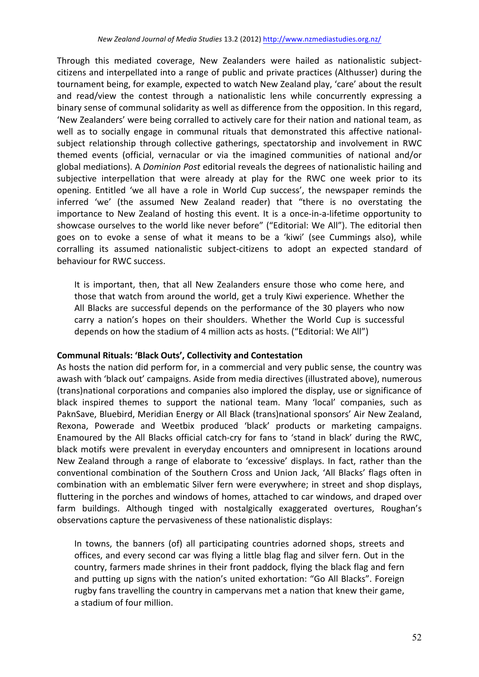Through this mediated coverage, New Zealanders were hailed as nationalistic subjectcitizens and interpellated into a range of public and private practices (Althusser) during the tournament being, for example, expected to watch New Zealand play, 'care' about the result and read/view the contest through a nationalistic lens while concurrently expressing a binary sense of communal solidarity as well as difference from the opposition. In this regard, 'New Zealanders' were being corralled to actively care for their nation and national team, as well as to socially engage in communal rituals that demonstrated this affective nationalsubject relationship through collective gatherings, spectatorship and involvement in RWC themed events (official, vernacular or via the imagined communities of national and/or global mediations). A *Dominion Post* editorial reveals the degrees of nationalistic hailing and subjective interpellation that were already at play for the RWC one week prior to its opening. Entitled 'we all have a role in World Cup success', the newspaper reminds the inferred 'we' (the assumed New Zealand reader) that "there is no overstating the importance to New Zealand of hosting this event. It is a once-in-a-lifetime opportunity to showcase ourselves to the world like never before" ("Editorial: We All"). The editorial then goes on to evoke a sense of what it means to be a 'kiwi' (see Cummings also), while corralling its assumed nationalistic subject-citizens to adopt an expected standard of behaviour for RWC success.

It is important, then, that all New Zealanders ensure those who come here, and those that watch from around the world, get a truly Kiwi experience. Whether the All Blacks are successful depends on the performance of the 30 players who now carry a nation's hopes on their shoulders. Whether the World Cup is successful depends on how the stadium of 4 million acts as hosts. ("Editorial: We All")

## **Communal Rituals: 'Black Outs', Collectivity and Contestation**

As hosts the nation did perform for, in a commercial and very public sense, the country was awash with 'black out' campaigns. Aside from media directives (illustrated above), numerous (trans)national corporations and companies also implored the display, use or significance of black inspired themes to support the national team. Many 'local' companies, such as PaknSave, Bluebird, Meridian Energy or All Black (trans)national sponsors' Air New Zealand, Rexona, Powerade and Weetbix produced 'black' products or marketing campaigns. Enamoured by the All Blacks official catch-cry for fans to 'stand in black' during the RWC, black motifs were prevalent in everyday encounters and omnipresent in locations around New Zealand through a range of elaborate to 'excessive' displays. In fact, rather than the conventional combination of the Southern Cross and Union Jack, 'All Blacks' flags often in combination with an emblematic Silver fern were everywhere; in street and shop displays, fluttering in the porches and windows of homes, attached to car windows, and draped over farm buildings. Although tinged with nostalgically exaggerated overtures, Roughan's observations capture the pervasiveness of these nationalistic displays:

In towns, the banners (of) all participating countries adorned shops, streets and offices, and every second car was flying a little blag flag and silver fern. Out in the country, farmers made shrines in their front paddock, flying the black flag and fern and putting up signs with the nation's united exhortation: "Go All Blacks". Foreign rugby fans travelling the country in campervans met a nation that knew their game, a stadium of four million.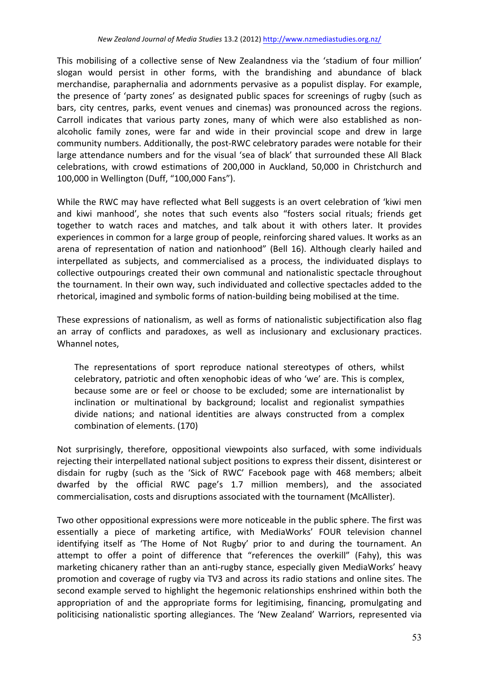This mobilising of a collective sense of New Zealandness via the 'stadium of four million' slogan would persist in other forms, with the brandishing and abundance of black merchandise, paraphernalia and adornments pervasive as a populist display. For example, the presence of 'party zones' as designated public spaces for screenings of rugby (such as bars, city centres, parks, event venues and cinemas) was pronounced across the regions. Carroll indicates that various party zones, many of which were also established as nonalcoholic family zones, were far and wide in their provincial scope and drew in large community numbers. Additionally, the post-RWC celebratory parades were notable for their large attendance numbers and for the visual 'sea of black' that surrounded these All Black celebrations, with crowd estimations of 200,000 in Auckland, 50,000 in Christchurch and 100,000 in Wellington (Duff, "100,000 Fans").

While the RWC may have reflected what Bell suggests is an overt celebration of 'kiwi men and kiwi manhood', she notes that such events also "fosters social rituals; friends get together to watch races and matches, and talk about it with others later. It provides experiences in common for a large group of people, reinforcing shared values. It works as an arena of representation of nation and nationhood" (Bell 16). Although clearly hailed and interpellated as subjects, and commercialised as a process, the individuated displays to collective outpourings created their own communal and nationalistic spectacle throughout the tournament. In their own way, such individuated and collective spectacles added to the rhetorical, imagined and symbolic forms of nation-building being mobilised at the time.

These expressions of nationalism, as well as forms of nationalistic subjectification also flag an array of conflicts and paradoxes, as well as inclusionary and exclusionary practices. Whannel notes,

The representations of sport reproduce national stereotypes of others, whilst celebratory, patriotic and often xenophobic ideas of who 'we' are. This is complex, because some are or feel or choose to be excluded; some are internationalist by inclination or multinational by background; localist and regionalist sympathies divide nations; and national identities are always constructed from a complex combination of elements. (170)

Not surprisingly, therefore, oppositional viewpoints also surfaced, with some individuals rejecting their interpellated national subject positions to express their dissent, disinterest or disdain for rugby (such as the 'Sick of RWC' Facebook page with 468 members; albeit dwarfed by the official RWC page's 1.7 million members), and the associated commercialisation, costs and disruptions associated with the tournament (McAllister).

Two other oppositional expressions were more noticeable in the public sphere. The first was essentially a piece of marketing artifice, with MediaWorks' FOUR television channel identifying itself as 'The Home of Not Rugby' prior to and during the tournament. An attempt to offer a point of difference that "references the overkill" (Fahy), this was marketing chicanery rather than an anti-rugby stance, especially given MediaWorks' heavy promotion and coverage of rugby via TV3 and across its radio stations and online sites. The second example served to highlight the hegemonic relationships enshrined within both the appropriation of and the appropriate forms for legitimising, financing, promulgating and politicising nationalistic sporting allegiances. The 'New Zealand' Warriors, represented via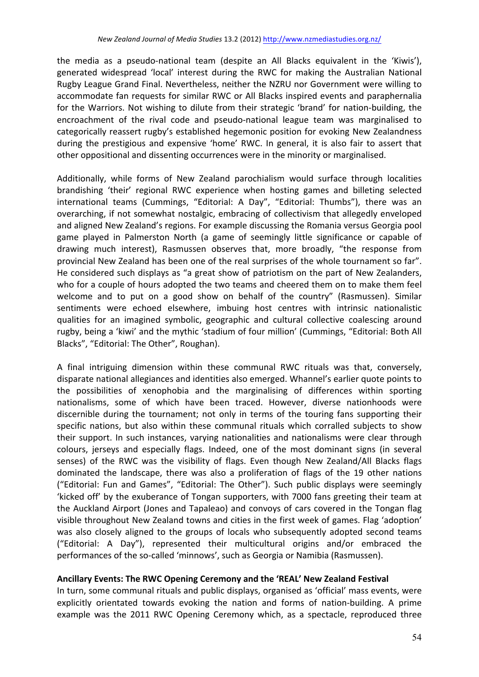the media as a pseudo-national team (despite an All Blacks equivalent in the 'Kiwis'), generated widespread 'local' interest during the RWC for making the Australian National Rugby League Grand Final. Nevertheless, neither the NZRU nor Government were willing to accommodate fan requests for similar RWC or All Blacks inspired events and paraphernalia for the Warriors. Not wishing to dilute from their strategic 'brand' for nation-building, the encroachment of the rival code and pseudo-national league team was marginalised to categorically reassert rugby's established hegemonic position for evoking New Zealandness during the prestigious and expensive 'home' RWC. In general, it is also fair to assert that other oppositional and dissenting occurrences were in the minority or marginalised.

Additionally, while forms of New Zealand parochialism would surface through localities brandishing 'their' regional RWC experience when hosting games and billeting selected international teams (Cummings, "Editorial: A Day", "Editorial: Thumbs"), there was an overarching, if not somewhat nostalgic, embracing of collectivism that allegedly enveloped and aligned New Zealand's regions. For example discussing the Romania versus Georgia pool game played in Palmerston North (a game of seemingly little significance or capable of drawing much interest), Rasmussen observes that, more broadly, "the response from provincial New Zealand has been one of the real surprises of the whole tournament so far". He considered such displays as "a great show of patriotism on the part of New Zealanders, who for a couple of hours adopted the two teams and cheered them on to make them feel welcome and to put on a good show on behalf of the country" (Rasmussen). Similar sentiments were echoed elsewhere, imbuing host centres with intrinsic nationalistic qualities for an imagined symbolic, geographic and cultural collective coalescing around rugby, being a 'kiwi' and the mythic 'stadium of four million' (Cummings, "Editorial: Both All Blacks", "Editorial: The Other", Roughan).

A final intriguing dimension within these communal RWC rituals was that, conversely, disparate national allegiances and identities also emerged. Whannel's earlier quote points to the possibilities of xenophobia and the marginalising of differences within sporting nationalisms, some of which have been traced. However, diverse nationhoods were discernible during the tournament; not only in terms of the touring fans supporting their specific nations, but also within these communal rituals which corralled subjects to show their support. In such instances, varying nationalities and nationalisms were clear through colours, jerseys and especially flags. Indeed, one of the most dominant signs (in several senses) of the RWC was the visibility of flags. Even though New Zealand/All Blacks flags dominated the landscape, there was also a proliferation of flags of the 19 other nations ("Editorial: Fun and Games", "Editorial: The Other"). Such public displays were seemingly 'kicked off' by the exuberance of Tongan supporters, with 7000 fans greeting their team at the Auckland Airport (Jones and Tapaleao) and convoys of cars covered in the Tongan flag visible throughout New Zealand towns and cities in the first week of games. Flag 'adoption' was also closely aligned to the groups of locals who subsequently adopted second teams ("Editorial: A Day"), represented their multicultural origins and/or embraced the performances of the so-called 'minnows', such as Georgia or Namibia (Rasmussen).

# Ancillary Events: The RWC Opening Ceremony and the 'REAL' New Zealand Festival

In turn, some communal rituals and public displays, organised as 'official' mass events, were explicitly orientated towards evoking the nation and forms of nation-building. A prime example was the 2011 RWC Opening Ceremony which, as a spectacle, reproduced three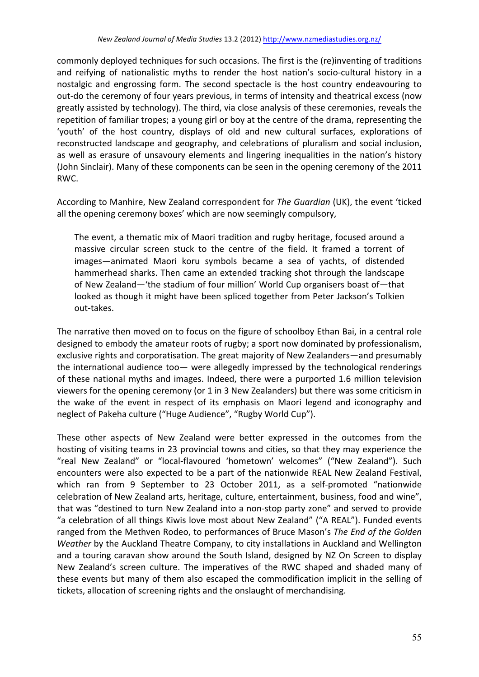commonly deployed techniques for such occasions. The first is the (re)inventing of traditions and reifying of nationalistic myths to render the host nation's socio-cultural history in a nostalgic and engrossing form. The second spectacle is the host country endeavouring to out-do the ceremony of four years previous, in terms of intensity and theatrical excess (now greatly assisted by technology). The third, via close analysis of these ceremonies, reveals the repetition of familiar tropes; a young girl or boy at the centre of the drama, representing the 'youth' of the host country, displays of old and new cultural surfaces, explorations of reconstructed landscape and geography, and celebrations of pluralism and social inclusion, as well as erasure of unsavoury elements and lingering inequalities in the nation's history (John Sinclair). Many of these components can be seen in the opening ceremony of the 2011 RWC.

According to Manhire, New Zealand correspondent for *The Guardian* (UK), the event 'ticked all the opening ceremony boxes' which are now seemingly compulsory,

The event, a thematic mix of Maori tradition and rugby heritage, focused around a massive circular screen stuck to the centre of the field. It framed a torrent of images—animated Maori koru symbols became a sea of yachts, of distended hammerhead sharks. Then came an extended tracking shot through the landscape of New Zealand—'the stadium of four million' World Cup organisers boast of—that looked as though it might have been spliced together from Peter Jackson's Tolkien out-takes. 

The narrative then moved on to focus on the figure of schoolboy Ethan Bai, in a central role designed to embody the amateur roots of rugby; a sport now dominated by professionalism, exclusive rights and corporatisation. The great majority of New Zealanders—and presumably the international audience too— were allegedly impressed by the technological renderings of these national myths and images. Indeed, there were a purported 1.6 million television viewers for the opening ceremony (or 1 in 3 New Zealanders) but there was some criticism in the wake of the event in respect of its emphasis on Maori legend and iconography and neglect of Pakeha culture ("Huge Audience", "Rugby World Cup").

These other aspects of New Zealand were better expressed in the outcomes from the hosting of visiting teams in 23 provincial towns and cities, so that they may experience the "real New Zealand" or "local-flavoured 'hometown' welcomes" ("New Zealand"). Such encounters were also expected to be a part of the nationwide REAL New Zealand Festival, which ran from 9 September to 23 October 2011, as a self-promoted "nationwide celebration of New Zealand arts, heritage, culture, entertainment, business, food and wine", that was "destined to turn New Zealand into a non-stop party zone" and served to provide "a celebration of all things Kiwis love most about New Zealand" ("A REAL"). Funded events ranged from the Methven Rodeo, to performances of Bruce Mason's The End of the Golden *Weather* by the Auckland Theatre Company, to city installations in Auckland and Wellington and a touring caravan show around the South Island, designed by NZ On Screen to display New Zealand's screen culture. The imperatives of the RWC shaped and shaded many of these events but many of them also escaped the commodification implicit in the selling of tickets, allocation of screening rights and the onslaught of merchandising.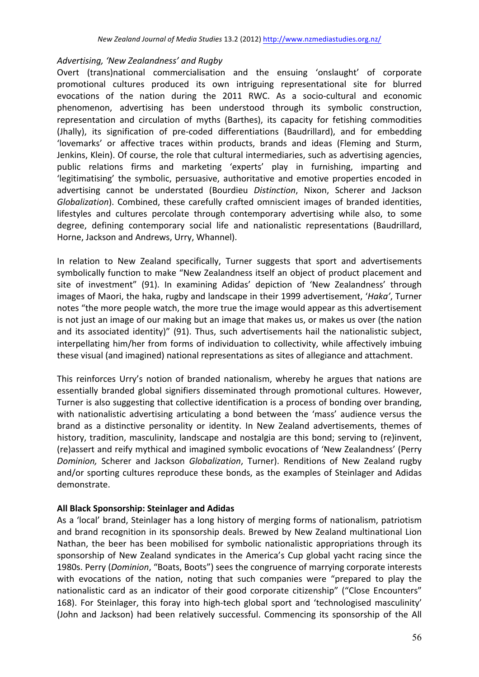## Advertising, 'New Zealandness' and Rugby

Overt (trans)national commercialisation and the ensuing 'onslaught' of corporate promotional cultures produced its own intriguing representational site for blurred evocations of the nation during the 2011 RWC. As a socio-cultural and economic phenomenon, advertising has been understood through its symbolic construction, representation and circulation of myths (Barthes), its capacity for fetishing commodities (Jhally), its signification of pre-coded differentiations (Baudrillard), and for embedding 'lovemarks' or affective traces within products, brands and ideas (Fleming and Sturm, Jenkins, Klein). Of course, the role that cultural intermediaries, such as advertising agencies, public relations firms and marketing 'experts' play in furnishing, imparting and 'legitimatising' the symbolic, persuasive, authoritative and emotive properties encoded in advertising cannot be understated (Bourdieu *Distinction*, Nixon, Scherer and Jackson *Globalization*). Combined, these carefully crafted omniscient images of branded identities, lifestyles and cultures percolate through contemporary advertising while also, to some degree, defining contemporary social life and nationalistic representations (Baudrillard. Horne, Jackson and Andrews, Urry, Whannel).

In relation to New Zealand specifically, Turner suggests that sport and advertisements symbolically function to make "New Zealandness itself an object of product placement and site of investment" (91). In examining Adidas' depiction of 'New Zealandness' through images of Maori, the haka, rugby and landscape in their 1999 advertisement, *'Haka'*, Turner notes "the more people watch, the more true the image would appear as this advertisement is not just an image of our making but an image that makes us, or makes us over (the nation and its associated identity)" (91). Thus, such advertisements hail the nationalistic subject, interpellating him/her from forms of individuation to collectivity, while affectively imbuing these visual (and imagined) national representations as sites of allegiance and attachment.

This reinforces Urry's notion of branded nationalism, whereby he argues that nations are essentially branded global signifiers disseminated through promotional cultures. However, Turner is also suggesting that collective identification is a process of bonding over branding, with nationalistic advertising articulating a bond between the 'mass' audience versus the brand as a distinctive personality or identity. In New Zealand advertisements, themes of history, tradition, masculinity, landscape and nostalgia are this bond; serving to (re)invent, (re)assert and reify mythical and imagined symbolic evocations of 'New Zealandness' (Perry *Dominion,* Scherer and Jackson *Globalization*, Turner). Renditions of New Zealand rugby and/or sporting cultures reproduce these bonds, as the examples of Steinlager and Adidas demonstrate.

# **All Black Sponsorship: Steinlager and Adidas**

As a 'local' brand, Steinlager has a long history of merging forms of nationalism, patriotism and brand recognition in its sponsorship deals. Brewed by New Zealand multinational Lion Nathan, the beer has been mobilised for symbolic nationalistic appropriations through its sponsorship of New Zealand syndicates in the America's Cup global yacht racing since the 1980s. Perry (*Dominion*, "Boats, Boots") sees the congruence of marrying corporate interests with evocations of the nation, noting that such companies were "prepared to play the nationalistic card as an indicator of their good corporate citizenship" ("Close Encounters" 168). For Steinlager, this foray into high-tech global sport and 'technologised masculinity' (John and Jackson) had been relatively successful. Commencing its sponsorship of the All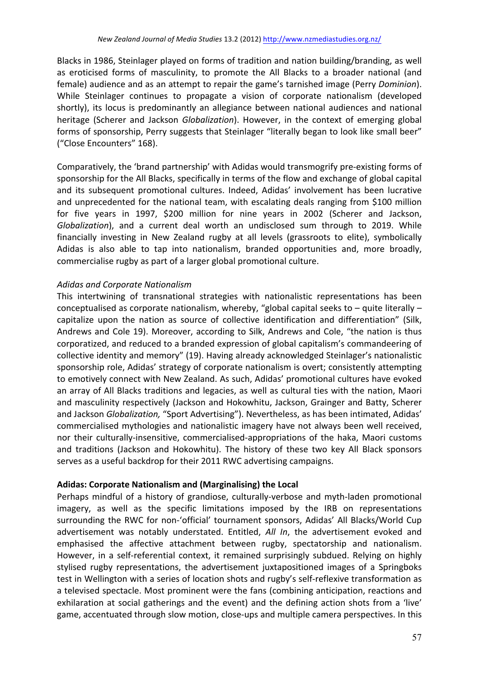Blacks in 1986, Steinlager played on forms of tradition and nation building/branding, as well as eroticised forms of masculinity, to promote the All Blacks to a broader national (and female) audience and as an attempt to repair the game's tarnished image (Perry *Dominion*). While Steinlager continues to propagate a vision of corporate nationalism (developed shortly), its locus is predominantly an allegiance between national audiences and national heritage (Scherer and Jackson *Globalization*). However, in the context of emerging global forms of sponsorship, Perry suggests that Steinlager "literally began to look like small beer" ("Close Encounters" 168).

Comparatively, the 'brand partnership' with Adidas would transmogrify pre-existing forms of sponsorship for the All Blacks, specifically in terms of the flow and exchange of global capital and its subsequent promotional cultures. Indeed, Adidas' involvement has been lucrative and unprecedented for the national team, with escalating deals ranging from \$100 million for five years in 1997, \$200 million for nine years in 2002 (Scherer and Jackson, *Globalization*), and a current deal worth an undisclosed sum through to 2019. While financially investing in New Zealand rugby at all levels (grassroots to elite), symbolically Adidas is also able to tap into nationalism, branded opportunities and, more broadly, commercialise rugby as part of a larger global promotional culture.

# *Adidas and Corporate Nationalism*

This intertwining of transnational strategies with nationalistic representations has been conceptualised as corporate nationalism, whereby, "global capital seeks to  $-$  quite literally  $$ capitalize upon the nation as source of collective identification and differentiation" (Silk, Andrews and Cole 19). Moreover, according to Silk, Andrews and Cole, "the nation is thus corporatized, and reduced to a branded expression of global capitalism's commandeering of collective identity and memory" (19). Having already acknowledged Steinlager's nationalistic sponsorship role, Adidas' strategy of corporate nationalism is overt; consistently attempting to emotively connect with New Zealand. As such, Adidas' promotional cultures have evoked an array of All Blacks traditions and legacies, as well as cultural ties with the nation, Maori and masculinity respectively (Jackson and Hokowhitu, Jackson, Grainger and Batty, Scherer and Jackson *Globalization*, "Sport Advertising"). Nevertheless, as has been intimated, Adidas' commercialised mythologies and nationalistic imagery have not always been well received, nor their culturally-insensitive, commercialised-appropriations of the haka, Maori customs and traditions (Jackson and Hokowhitu). The history of these two key All Black sponsors serves as a useful backdrop for their 2011 RWC advertising campaigns.

# Adidas: Corporate Nationalism and (Marginalising) the Local

Perhaps mindful of a history of grandiose, culturally-verbose and myth-laden promotional imagery, as well as the specific limitations imposed by the IRB on representations surrounding the RWC for non-'official' tournament sponsors, Adidas' All Blacks/World Cup advertisement was notably understated. Entitled, *All In*, the advertisement evoked and emphasised the affective attachment between rugby, spectatorship and nationalism. However, in a self-referential context, it remained surprisingly subdued. Relying on highly stylised rugby representations, the advertisement juxtapositioned images of a Springboks test in Wellington with a series of location shots and rugby's self-reflexive transformation as a televised spectacle. Most prominent were the fans (combining anticipation, reactions and exhilaration at social gatherings and the event) and the defining action shots from a 'live' game, accentuated through slow motion, close-ups and multiple camera perspectives. In this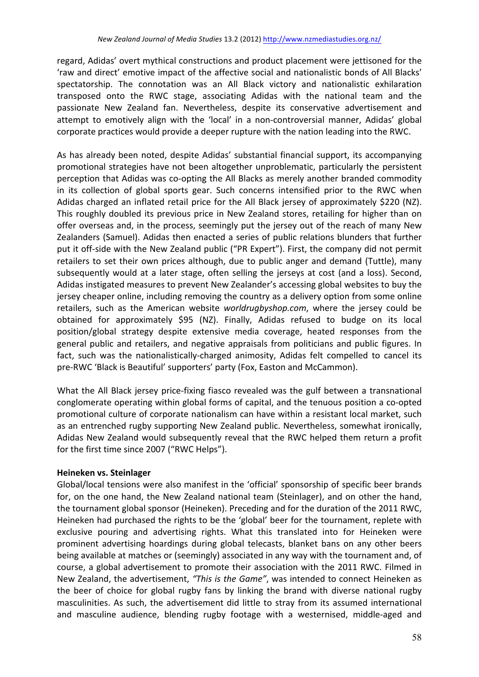regard, Adidas' overt mythical constructions and product placement were jettisoned for the 'raw and direct' emotive impact of the affective social and nationalistic bonds of All Blacks' spectatorship. The connotation was an All Black victory and nationalistic exhilaration transposed onto the RWC stage, associating Adidas with the national team and the passionate New Zealand fan. Nevertheless, despite its conservative advertisement and attempt to emotively align with the 'local' in a non-controversial manner, Adidas' global corporate practices would provide a deeper rupture with the nation leading into the RWC.

As has already been noted, despite Adidas' substantial financial support, its accompanying promotional strategies have not been altogether unproblematic, particularly the persistent perception that Adidas was co-opting the All Blacks as merely another branded commodity in its collection of global sports gear. Such concerns intensified prior to the RWC when Adidas charged an inflated retail price for the All Black jersey of approximately \$220 (NZ). This roughly doubled its previous price in New Zealand stores, retailing for higher than on offer overseas and, in the process, seemingly put the jersey out of the reach of many New Zealanders (Samuel). Adidas then enacted a series of public relations blunders that further put it off-side with the New Zealand public ("PR Expert"). First, the company did not permit retailers to set their own prices although, due to public anger and demand (Tuttle), many subsequently would at a later stage, often selling the jerseys at cost (and a loss). Second, Adidas instigated measures to prevent New Zealander's accessing global websites to buy the jersey cheaper online, including removing the country as a delivery option from some online retailers, such as the American website *worldrugbyshop.com*, where the jersey could be obtained for approximately \$95 (NZ). Finally, Adidas refused to budge on its local position/global strategy despite extensive media coverage, heated responses from the general public and retailers, and negative appraisals from politicians and public figures. In fact, such was the nationalistically-charged animosity, Adidas felt compelled to cancel its pre-RWC 'Black is Beautiful' supporters' party (Fox, Easton and McCammon).

What the All Black jersey price-fixing fiasco revealed was the gulf between a transnational conglomerate operating within global forms of capital, and the tenuous position a co-opted promotional culture of corporate nationalism can have within a resistant local market, such as an entrenched rugby supporting New Zealand public. Nevertheless, somewhat ironically, Adidas New Zealand would subsequently reveal that the RWC helped them return a profit for the first time since 2007 ("RWC Helps").

# **Heineken vs. Steinlager**

Global/local tensions were also manifest in the 'official' sponsorship of specific beer brands for, on the one hand, the New Zealand national team (Steinlager), and on other the hand, the tournament global sponsor (Heineken). Preceding and for the duration of the 2011 RWC, Heineken had purchased the rights to be the 'global' beer for the tournament, replete with exclusive pouring and advertising rights. What this translated into for Heineken were prominent advertising hoardings during global telecasts, blanket bans on any other beers being available at matches or (seemingly) associated in any way with the tournament and, of course, a global advertisement to promote their association with the 2011 RWC. Filmed in New Zealand, the advertisement, "This is the Game", was intended to connect Heineken as the beer of choice for global rugby fans by linking the brand with diverse national rugby masculinities. As such, the advertisement did little to stray from its assumed international and masculine audience, blending rugby footage with a westernised, middle-aged and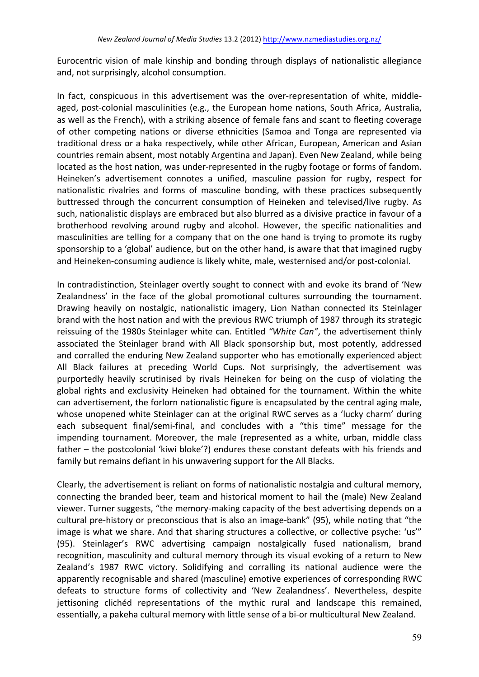Eurocentric vision of male kinship and bonding through displays of nationalistic allegiance and, not surprisingly, alcohol consumption.

In fact, conspicuous in this advertisement was the over-representation of white, middleaged, post-colonial masculinities (e.g., the European home nations, South Africa, Australia, as well as the French), with a striking absence of female fans and scant to fleeting coverage of other competing nations or diverse ethnicities (Samoa and Tonga are represented via traditional dress or a haka respectively, while other African, European, American and Asian countries remain absent, most notably Argentina and Japan). Even New Zealand, while being located as the host nation, was under-represented in the rugby footage or forms of fandom. Heineken's advertisement connotes a unified, masculine passion for rugby, respect for nationalistic rivalries and forms of masculine bonding, with these practices subsequently buttressed through the concurrent consumption of Heineken and televised/live rugby. As such, nationalistic displays are embraced but also blurred as a divisive practice in favour of a brotherhood revolving around rugby and alcohol. However, the specific nationalities and masculinities are telling for a company that on the one hand is trying to promote its rugby sponsorship to a 'global' audience, but on the other hand, is aware that that imagined rugby and Heineken-consuming audience is likely white, male, westernised and/or post-colonial.

In contradistinction, Steinlager overtly sought to connect with and evoke its brand of 'New Zealandness' in the face of the global promotional cultures surrounding the tournament. Drawing heavily on nostalgic, nationalistic imagery, Lion Nathan connected its Steinlager brand with the host nation and with the previous RWC triumph of 1987 through its strategic reissuing of the 1980s Steinlager white can. Entitled "White Can", the advertisement thinly associated the Steinlager brand with All Black sponsorship but, most potently, addressed and corralled the enduring New Zealand supporter who has emotionally experienced abject All Black failures at preceding World Cups. Not surprisingly, the advertisement was purportedly heavily scrutinised by rivals Heineken for being on the cusp of violating the global rights and exclusivity Heineken had obtained for the tournament. Within the white can advertisement, the forlorn nationalistic figure is encapsulated by the central aging male, whose unopened white Steinlager can at the original RWC serves as a 'lucky charm' during each subsequent final/semi-final, and concludes with a "this time" message for the impending tournament. Moreover, the male (represented as a white, urban, middle class father – the postcolonial 'kiwi bloke'?) endures these constant defeats with his friends and family but remains defiant in his unwavering support for the All Blacks.

Clearly, the advertisement is reliant on forms of nationalistic nostalgia and cultural memory, connecting the branded beer, team and historical moment to hail the (male) New Zealand viewer. Turner suggests, "the memory-making capacity of the best advertising depends on a cultural pre-history or preconscious that is also an image-bank" (95), while noting that "the image is what we share. And that sharing structures a collective, or collective psyche: 'us'" (95). Steinlager's RWC advertising campaign nostalgically fused nationalism, brand recognition, masculinity and cultural memory through its visual evoking of a return to New Zealand's 1987 RWC victory. Solidifying and corralling its national audience were the apparently recognisable and shared (masculine) emotive experiences of corresponding RWC defeats to structure forms of collectivity and 'New Zealandness'. Nevertheless, despite jettisoning clichéd representations of the mythic rural and landscape this remained, essentially, a pakeha cultural memory with little sense of a bi-or multicultural New Zealand.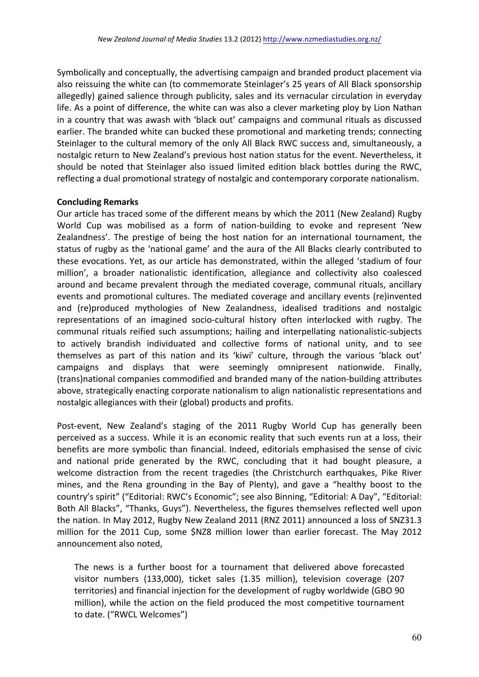Symbolically and conceptually, the advertising campaign and branded product placement via also reissuing the white can (to commemorate Steinlager's 25 years of All Black sponsorship allegedly) gained salience through publicity, sales and its vernacular circulation in everyday life. As a point of difference, the white can was also a clever marketing ploy by Lion Nathan in a country that was awash with 'black out' campaigns and communal rituals as discussed earlier. The branded white can bucked these promotional and marketing trends; connecting Steinlager to the cultural memory of the only All Black RWC success and, simultaneously, a nostalgic return to New Zealand's previous host nation status for the event. Nevertheless, it should be noted that Steinlager also issued limited edition black bottles during the RWC, reflecting a dual promotional strategy of nostalgic and contemporary corporate nationalism.

## **Concluding Remarks**

Our article has traced some of the different means by which the 2011 (New Zealand) Rugby World Cup was mobilised as a form of nation-building to evoke and represent 'New Zealandness'. The prestige of being the host nation for an international tournament, the status of rugby as the 'national game' and the aura of the All Blacks clearly contributed to these evocations. Yet, as our article has demonstrated, within the alleged 'stadium of four million', a broader nationalistic identification, allegiance and collectivity also coalesced around and became prevalent through the mediated coverage, communal rituals, ancillary events and promotional cultures. The mediated coverage and ancillary events (re)invented and (re)produced mythologies of New Zealandness, idealised traditions and nostalgic representations of an imagined socio-cultural history often interlocked with rugby. The communal rituals reified such assumptions; hailing and interpellating nationalistic-subjects to actively brandish individuated and collective forms of national unity, and to see themselves as part of this nation and its 'kiwi' culture, through the various 'black out' campaigns and displays that were seemingly omnipresent nationwide. Finally, (trans)national companies commodified and branded many of the nation-building attributes above, strategically enacting corporate nationalism to align nationalistic representations and nostalgic allegiances with their (global) products and profits.

Post-event, New Zealand's staging of the 2011 Rugby World Cup has generally been perceived as a success. While it is an economic reality that such events run at a loss, their benefits are more symbolic than financial. Indeed, editorials emphasised the sense of civic and national pride generated by the RWC, concluding that it had bought pleasure, a welcome distraction from the recent tragedies (the Christchurch earthquakes, Pike River mines, and the Rena grounding in the Bay of Plenty), and gave a "healthy boost to the country's spirit" ("Editorial: RWC's Economic"; see also Binning, "Editorial: A Day", "Editorial: Both All Blacks", "Thanks, Guys"). Nevertheless, the figures themselves reflected well upon the nation. In May 2012, Rugby New Zealand 2011 (RNZ 2011) announced a loss of SNZ31.3 million for the 2011 Cup, some \$NZ8 million lower than earlier forecast. The May 2012 announcement also noted.

The news is a further boost for a tournament that delivered above forecasted visitor numbers (133,000), ticket sales (1.35 million), television coverage (207 territories) and financial injection for the development of rugby worldwide (GBO 90 million), while the action on the field produced the most competitive tournament to date. ("RWCL Welcomes")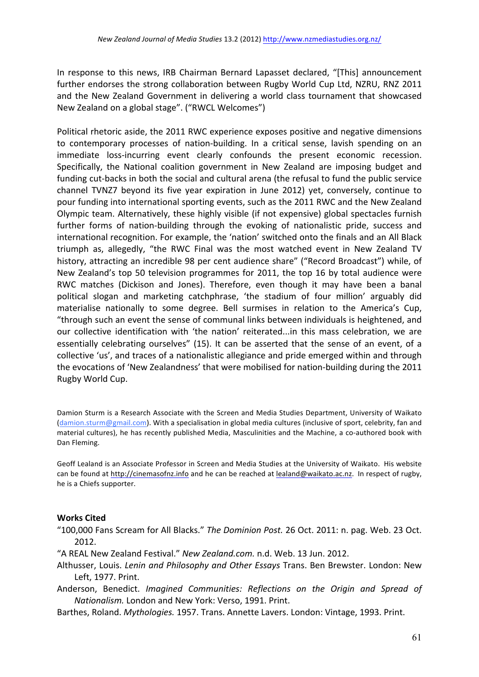In response to this news, IRB Chairman Bernard Lapasset declared, "[This] announcement further endorses the strong collaboration between Rugby World Cup Ltd, NZRU, RNZ 2011 and the New Zealand Government in delivering a world class tournament that showcased New Zealand on a global stage". ("RWCL Welcomes")

Political rhetoric aside, the 2011 RWC experience exposes positive and negative dimensions to contemporary processes of nation-building. In a critical sense, lavish spending on an immediate loss-incurring event clearly confounds the present economic recession. Specifically, the National coalition government in New Zealand are imposing budget and funding cut-backs in both the social and cultural arena (the refusal to fund the public service channel TVNZ7 beyond its five year expiration in June 2012) yet, conversely, continue to pour funding into international sporting events, such as the 2011 RWC and the New Zealand Olympic team. Alternatively, these highly visible (if not expensive) global spectacles furnish further forms of nation-building through the evoking of nationalistic pride, success and international recognition. For example, the 'nation' switched onto the finals and an All Black triumph as, allegedly, "the RWC Final was the most watched event in New Zealand TV history, attracting an incredible 98 per cent audience share" ("Record Broadcast") while, of New Zealand's top 50 television programmes for 2011, the top 16 by total audience were RWC matches (Dickison and Jones). Therefore, even though it may have been a banal political slogan and marketing catchphrase, 'the stadium of four million' arguably did materialise nationally to some degree. Bell surmises in relation to the America's Cup, "through such an event the sense of communal links between individuals is heightened, and our collective identification with 'the nation' reiterated...in this mass celebration, we are essentially celebrating ourselves" (15). It can be asserted that the sense of an event, of a collective 'us', and traces of a nationalistic allegiance and pride emerged within and through the evocations of 'New Zealandness' that were mobilised for nation-building during the 2011 Rugby World Cup.

Damion Sturm is a Research Associate with the Screen and Media Studies Department, University of Waikato (damion.sturm@gmail.com). With a specialisation in global media cultures (inclusive of sport, celebrity, fan and material cultures), he has recently published Media, Masculinities and the Machine, a co-authored book with Dan Fleming.

Geoff Lealand is an Associate Professor in Screen and Media Studies at the University of Waikato. His website can be found at http://cinemasofnz.info and he can be reached at lealand@waikato.ac.nz. In respect of rugby, he is a Chiefs supporter.

# **Works Cited**

"100,000 Fans Scream for All Blacks." The *Dominion Post.* 26 Oct. 2011: n. pag. Web. 23 Oct. 2012.

- "A REAL New Zealand Festival." *New Zealand.com.* n.d. Web. 13 Jun. 2012.
- Althusser, Louis. *Lenin and Philosophy and Other Essays* Trans. Ben Brewster. London: New Left, 1977. Print.
- Anderson, Benedict. *Imagined Communities: Reflections on the Origin and Spread of Nationalism.* London and New York: Verso, 1991. Print.
- Barthes, Roland. *Mythologies.* 1957. Trans. Annette Lavers. London: Vintage, 1993. Print.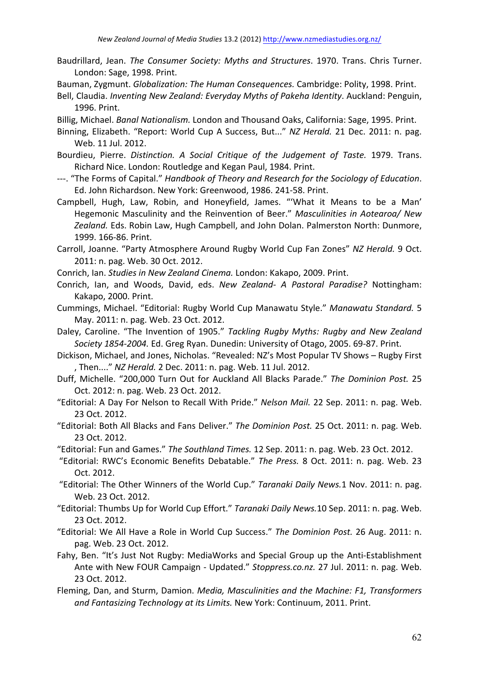- Baudrillard, Jean. *The Consumer Society: Myths and Structures*. 1970. Trans. Chris Turner. London: Sage, 1998. Print.
- Bauman, Zygmunt. *Globalization: The Human Consequences.* Cambridge: Polity, 1998. Print.
- Bell, Claudia. *Inventing New Zealand: Everyday Myths of Pakeha Identity*. Auckland: Penguin, 1996. Print.
- Billig, Michael. *Banal Nationalism.* London and Thousand Oaks, California: Sage, 1995. Print.
- Binning, Elizabeth. "Report: World Cup A Success, But..." NZ Herald. 21 Dec. 2011: n. pag. Web. 11 Jul. 2012.
- Bourdieu, Pierre. *Distinction. A Social Critique of the Judgement of Taste.* 1979. Trans. Richard Nice. London: Routledge and Kegan Paul, 1984. Print.
- ---. "The Forms of Capital." *Handbook of Theory and Research for the Sociology of Education*. Ed. John Richardson. New York: Greenwood, 1986. 241-58. Print.
- Campbell, Hugh, Law, Robin, and Honeyfield, James. "'What it Means to be a Man' Hegemonic Masculinity and the Reinvention of Beer." *Masculinities in Aotearoa/ New* Zealand, Eds. Robin Law, Hugh Campbell, and John Dolan, Palmerston North: Dunmore, 1999. 166-86. Print.
- Carroll, Joanne. "Party Atmosphere Around Rugby World Cup Fan Zones" NZ Herald. 9 Oct. 2011: n. pag. Web. 30 Oct. 2012.
- Conrich, Ian. *Studies in New Zealand Cinema.* London: Kakapo, 2009. Print.
- Conrich, Ian, and Woods, David, eds. New Zealand- A Pastoral Paradise? Nottingham: Kakapo, 2000. Print.
- Cummings, Michael. "Editorial: Rugby World Cup Manawatu Style." Manawatu Standard. 5 May. 2011: n. pag. Web. 23 Oct. 2012.
- Daley, Caroline. "The Invention of 1905." *Tackling Rugby Myths: Rugby and New Zealand* Society 1854-2004. Ed. Greg Ryan. Dunedin: University of Otago, 2005. 69-87. Print.
- Dickison, Michael, and Jones, Nicholas. "Revealed: NZ's Most Popular TV Shows Rugby First , Then...." *NZ Herald.* 2 Dec. 2011: n. pag. Web. 11 Jul. 2012.
- Duff, Michelle. "200,000 Turn Out for Auckland All Blacks Parade." The Dominion Post. 25 Oct. 2012: n. pag. Web. 23 Oct. 2012.
- "Editorial: A Day For Nelson to Recall With Pride." Nelson Mail. 22 Sep. 2011: n. pag. Web. 23 Oct. 2012.
- "Editorial: Both All Blacks and Fans Deliver." The Dominion Post. 25 Oct. 2011: n. pag. Web. 23 Oct. 2012.
- "Editorial: Fun and Games." The Southland Times. 12 Sep. 2011: n. pag. Web. 23 Oct. 2012.
- "Editorial: RWC's Economic Benefits Debatable." The Press. 8 Oct. 2011: n. pag. Web. 23 Oct. 2012.
- "Editorial: The Other Winners of the World Cup." Taranaki Daily News.1 Nov. 2011: n. pag. Web. 23 Oct. 2012.
- "Editorial: Thumbs Up for World Cup Effort." Taranaki Daily News.10 Sep. 2011: n. pag. Web. 23 Oct. 2012.
- "Editorial: We All Have a Role in World Cup Success." *The Dominion Post.* 26 Aug. 2011: n. pag. Web. 23 Oct. 2012.
- Fahy, Ben. "It's Just Not Rugby: MediaWorks and Special Group up the Anti-Establishment Ante with New FOUR Campaign - Updated." Stoppress.co.nz. 27 Jul. 2011: n. pag. Web. 23 Oct. 2012.
- Fleming, Dan, and Sturm, Damion. *Media, Masculinities and the Machine: F1, Transformers* and Fantasizing Technology at its Limits. New York: Continuum, 2011. Print.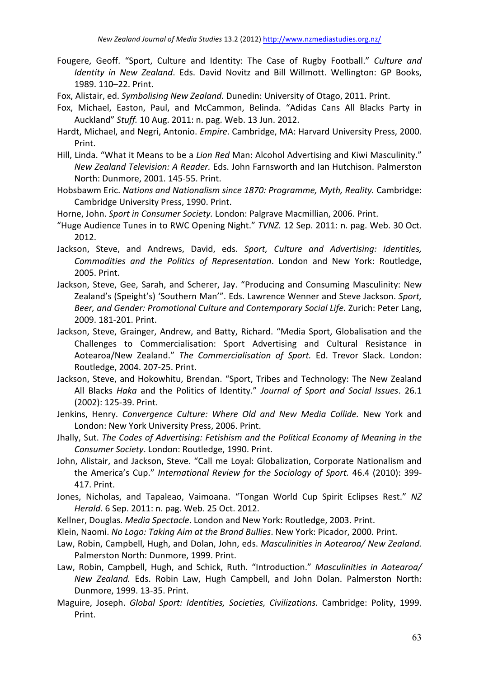- Fougere, Geoff. "Sport, Culture and Identity: The Case of Rugby Football." *Culture and Identity in New Zealand*. Eds. David Novitz and Bill Willmott. Wellington: GP Books, 1989. 110-22. Print.
- Fox, Alistair, ed. *Symbolising New Zealand.* Dunedin: University of Otago, 2011. Print.
- Fox, Michael, Easton, Paul, and McCammon, Belinda. "Adidas Cans All Blacks Party in Auckland" Stuff. 10 Aug. 2011: n. pag. Web. 13 Jun. 2012.
- Hardt, Michael, and Negri, Antonio. *Empire*. Cambridge, MA: Harvard University Press, 2000. Print.
- Hill, Linda. "What it Means to be a *Lion Red* Man: Alcohol Advertising and Kiwi Masculinity." *New Zealand Television: A Reader.* Eds. John Farnsworth and Ian Hutchison. Palmerston North: Dunmore, 2001. 145-55. Print.
- Hobsbawm Eric. *Nations and Nationalism since 1870: Programme, Myth, Reality.* Cambridge: Cambridge University Press, 1990. Print.
- Horne, John. *Sport in Consumer Society*. London: Palgrave Macmillian, 2006. Print.
- "Huge Audience Tunes in to RWC Opening Night." *TVNZ*. 12 Sep. 2011: n. pag. Web. 30 Oct. 2012.
- Jackson, Steve, and Andrews, David, eds. Sport, Culture and Advertising: Identities, *Commodities and the Politics of Representation*. London and New York: Routledge, 2005. Print.
- Jackson, Steve, Gee, Sarah, and Scherer, Jay. "Producing and Consuming Masculinity: New Zealand's (Speight's) 'Southern Man'". Eds. Lawrence Wenner and Steve Jackson. Sport, Beer, and Gender: Promotional Culture and Contemporary Social Life. Zurich: Peter Lang, 2009. 181-201. Print.
- Jackson, Steve, Grainger, Andrew, and Batty, Richard. "Media Sport, Globalisation and the Challenges to Commercialisation: Sport Advertising and Cultural Resistance in Aotearoa/New Zealand." The Commercialisation of Sport. Ed. Trevor Slack. London: Routledge, 2004. 207-25. Print.
- Jackson, Steve, and Hokowhitu, Brendan. "Sport, Tribes and Technology: The New Zealand All Blacks *Haka* and the Politics of Identity." Journal of Sport and Social Issues. 26.1 (2002): 125-39. Print.
- Jenkins, Henry. Convergence Culture: Where Old and New Media Collide. New York and London: New York University Press, 2006. Print.
- Jhally, Sut. The Codes of Advertising: Fetishism and the Political Economy of Meaning in the Consumer Society. London: Routledge, 1990. Print.
- John, Alistair, and Jackson, Steve. "Call me Loyal: Globalization, Corporate Nationalism and the America's Cup." *International Review for the Sociology of Sport.* 46.4 (2010): 399-417. Print.
- Jones, Nicholas, and Tapaleao, Vaimoana. "Tongan World Cup Spirit Eclipses Rest." NZ *Herald.* 6 Sep. 2011: n. pag. Web. 25 Oct. 2012.
- Kellner, Douglas. *Media Spectacle*. London and New York: Routledge, 2003. Print.
- Klein, Naomi. *No Logo: Taking Aim at the Brand Bullies*. New York: Picador, 2000. Print.
- Law, Robin, Campbell, Hugh, and Dolan, John, eds. *Masculinities in Aotearoa/ New Zealand.* Palmerston North: Dunmore, 1999. Print.
- Law, Robin, Campbell, Hugh, and Schick, Ruth. "Introduction." *Masculinities in Aotearoa*/ *New Zealand.* Eds. Robin Law, Hugh Campbell, and John Dolan. Palmerston North: Dunmore, 1999. 13-35. Print.
- Maguire, Joseph. *Global Sport: Identities, Societies, Civilizations. Cambridge: Polity, 1999.* Print.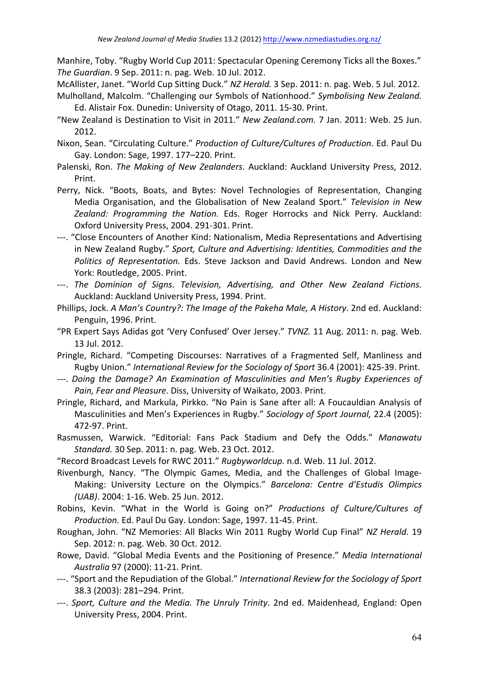Manhire, Toby. "Rugby World Cup 2011: Spectacular Opening Ceremony Ticks all the Boxes." *The Guardian.* 9 Sep. 2011: n. pag. Web. 10 Jul. 2012.

McAllister, Janet. "World Cup Sitting Duck." *NZ Herald.* 3 Sep. 2011: n. pag. Web. 5 Jul. 2012.

- Mulholland, Malcolm. "Challenging our Symbols of Nationhood." *Symbolising New Zealand.* Ed. Alistair Fox. Dunedin: University of Otago, 2011. 15-30. Print.
- "New Zealand is Destination to Visit in 2011." *New Zealand.com.* 7 Jan. 2011: Web. 25 Jun. 2012.
- Nixon, Sean. "Circulating Culture." Production of Culture/Cultures of Production. Ed. Paul Du Gay. London: Sage, 1997. 177-220. Print.
- Palenski, Ron. *The Making of New Zealanders*. Auckland: Auckland University Press, 2012. Print.
- Perry, Nick. "Boots, Boats, and Bytes: Novel Technologies of Representation, Changing Media Organisation, and the Globalisation of New Zealand Sport." Television in New Zealand: Programming the Nation. Eds. Roger Horrocks and Nick Perry. Auckland: Oxford University Press, 2004. 291-301. Print.
- ---. "Close Encounters of Another Kind: Nationalism, Media Representations and Advertising in New Zealand Rugby." Sport, Culture and Advertising: Identities, Commodities and the Politics of Representation. Eds. Steve Jackson and David Andrews. London and New York: Routledge, 2005. Print.
- ---. The Dominion of Signs. Television, Advertising, and Other New Zealand Fictions. Auckland: Auckland University Press, 1994. Print.
- Phillips, Jock. A Man's Country?: The Image of the Pakeha Male, A History. 2nd ed. Auckland: Penguin, 1996. Print.
- "PR Expert Says Adidas got 'Very Confused' Over Jersey." *TVNZ*. 11 Aug. 2011: n. pag. Web. 13 Jul. 2012.
- Pringle, Richard. "Competing Discourses: Narratives of a Fragmented Self, Manliness and Rugby Union." International Review for the Sociology of Sport 36.4 (2001): 425-39. Print.
- ---. *Doing the Damage? An Examination of Masculinities and Men's Rugby Experiences of* Pain, Fear and Pleasure. Diss, University of Waikato, 2003. Print.
- Pringle, Richard, and Markula, Pirkko. "No Pain is Sane after all: A Foucauldian Analysis of Masculinities and Men's Experiences in Rugby." Sociology of Sport Journal, 22.4 (2005): 472-97. Print.
- Rasmussen, Warwick. "Editorial: Fans Pack Stadium and Defy the Odds." Manawatu *Standard.* 30 Sep. 2011: n. pag. Web. 23 Oct. 2012.
- "Record Broadcast Levels for RWC 2011." Rugbyworldcup. n.d. Web. 11 Jul. 2012.
- Rivenburgh, Nancy. "The Olympic Games, Media, and the Challenges of Global Image-Making: University Lecture on the Olympics." *Barcelona: Centre d'Estudis Olimpics (UAB)*. 2004: 1-16. Web. 25 Jun. 2012.
- Robins, Kevin. "What in the World is Going on?" *Productions of Culture/Cultures of Production.* Ed. Paul Du Gay. London: Sage, 1997. 11-45. Print.
- Roughan, John. "NZ Memories: All Blacks Win 2011 Rugby World Cup Final" *NZ Herald.* 19 Sep. 2012: n. pag. Web. 30 Oct. 2012.
- Rowe, David. "Global Media Events and the Positioning of Presence." *Media International Australia* 97 (2000): 11-21. Print.
- ---. "Sport and the Repudiation of the Global." *International Review for the Sociology of Sport* 38.3 (2003): 281-294. Print.
- ---. Sport, Culture and the Media. The Unruly Trinity. 2nd ed. Maidenhead, England: Open University Press, 2004. Print.